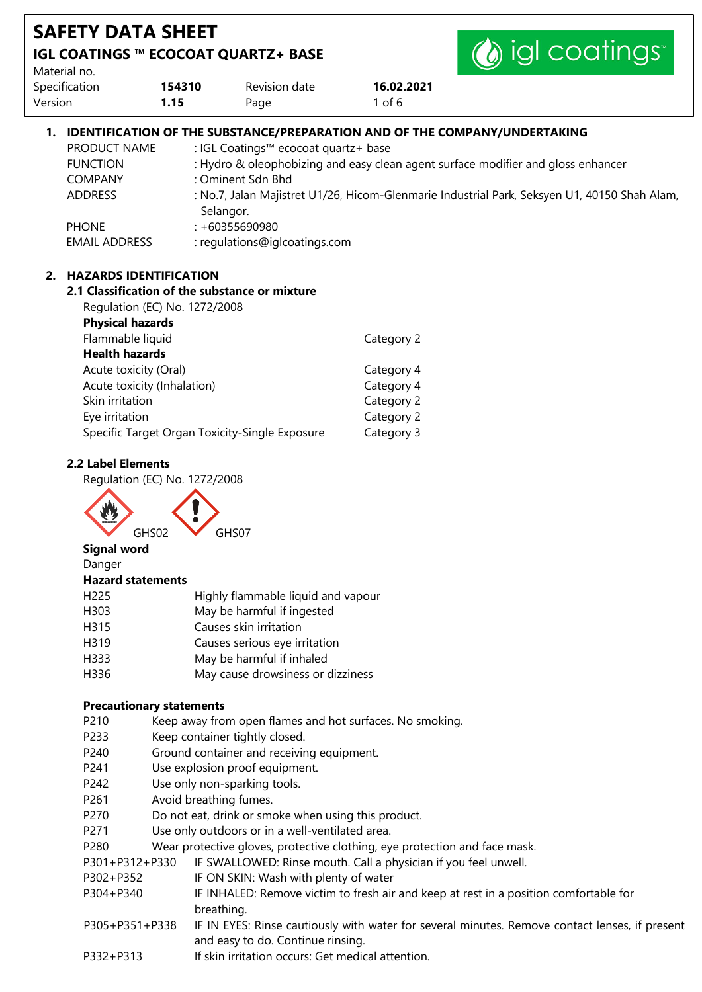| <b>SAFETY DATA SHEET</b>                                                                             |           |                                                                                                                |            |                                                                                                                                                                                                                                                                       |
|------------------------------------------------------------------------------------------------------|-----------|----------------------------------------------------------------------------------------------------------------|------------|-----------------------------------------------------------------------------------------------------------------------------------------------------------------------------------------------------------------------------------------------------------------------|
| <b>IGL COATINGS ™ ECOCOAT QUARTZ+ BASE</b>                                                           |           |                                                                                                                |            | igl coatings                                                                                                                                                                                                                                                          |
| Material no.                                                                                         |           |                                                                                                                |            |                                                                                                                                                                                                                                                                       |
| Specification                                                                                        | 154310    | Revision date                                                                                                  | 16.02.2021 |                                                                                                                                                                                                                                                                       |
| Version                                                                                              | 1.15      | Page                                                                                                           | 1 of $6$   |                                                                                                                                                                                                                                                                       |
| PRODUCT NAME<br><b>FUNCTION</b><br><b>COMPANY</b><br><b>ADDRESS</b><br><b>PHONE</b><br>EMAIL ADDRESS | Selangor. | : IGL Coatings™ ecocoat quartz+ base<br>: Ominent Sdn Bhd<br>$: +60355690980$<br>: regulations@iglcoatings.com |            | <b>IDENTIFICATION OF THE SUBSTANCE/PREPARATION AND OF THE COMPANY/UNDERTAKING</b><br>: Hydro & oleophobizing and easy clean agent surface modifier and gloss enhancer<br>: No.7, Jalan Majistret U1/26, Hicom-Glenmarie Industrial Park, Seksyen U1, 40150 Shah Alam, |

### **2. HAZARDS IDENTIFICATION**

| 2.1 Classification of the substance or mixture |            |
|------------------------------------------------|------------|
| Regulation (EC) No. 1272/2008                  |            |
| <b>Physical hazards</b>                        |            |
| Flammable liquid                               | Category 2 |
| <b>Health hazards</b>                          |            |
| Acute toxicity (Oral)                          | Category 4 |
| Acute toxicity (Inhalation)                    | Category 4 |
| Skin irritation                                | Category 2 |
| Eye irritation                                 | Category 2 |
| Specific Target Organ Toxicity-Single Exposure | Category 3 |
|                                                |            |

## **2.2 Label Elements**

Regulation (EC) No. 1272/2008



### **Signal word**

#### Danger **Hazard statements**

| H225 | Highly flammable liquid and vapour |
|------|------------------------------------|
|      |                                    |

- H303 May be harmful if ingested
- H315 Causes skin irritation
- H319 Causes serious eye irritation
- H333 May be harmful if inhaled
- H336 May cause drowsiness or dizziness

### **Precautionary statements**

- P210 Keep away from open flames and hot surfaces. No smoking.
- P233 Keep container tightly closed.
- P240 Ground container and receiving equipment.
- P241 Use explosion proof equipment.
- P242 Use only non-sparking tools.
- P261 Avoid breathing fumes.
- P270 Do not eat, drink or smoke when using this product.
- P271 Use only outdoors or in a well-ventilated area.
- P280 Wear protective gloves, protective clothing, eye protection and face mask.
- P301+P312+P330 IF SWALLOWED: Rinse mouth. Call a physician if you feel unwell.
- P302+P352 IF ON SKIN: Wash with plenty of water
- P304+P340 IF INHALED: Remove victim to fresh air and keep at rest in a position comfortable for breathing.
- P305+P351+P338 IF IN EYES: Rinse cautiously with water for several minutes. Remove contact lenses, if present and easy to do. Continue rinsing.
- P332+P313 If skin irritation occurs: Get medical attention.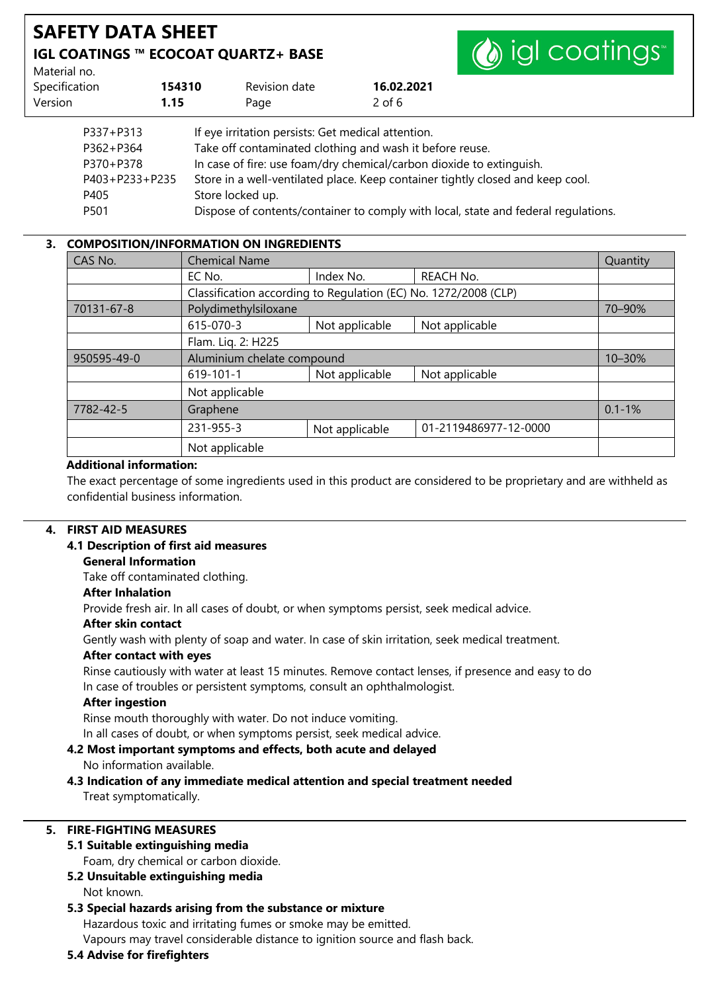

Material no.

| 16.02.2021<br>Revision date | Specification<br>154310 |
|-----------------------------|-------------------------|
| 2 of 6<br>Page              | 1.15                    |
|                             |                         |

| P337+P313      | If eye irritation persists: Get medical attention.                                 |
|----------------|------------------------------------------------------------------------------------|
| P362+P364      | Take off contaminated clothing and wash it before reuse.                           |
| P370+P378      | In case of fire: use foam/dry chemical/carbon dioxide to extinguish.               |
| P403+P233+P235 | Store in a well-ventilated place. Keep container tightly closed and keep cool.     |
| P405           | Store locked up.                                                                   |
| P501           | Dispose of contents/container to comply with local, state and federal regulations. |

## **3. COMPOSITION/INFORMATION ON INGREDIENTS**

| CAS No.     | <b>Chemical Name</b>                                            |                |                       | Quantity   |
|-------------|-----------------------------------------------------------------|----------------|-----------------------|------------|
|             | EC No.                                                          | Index No.      | <b>REACH No.</b>      |            |
|             | Classification according to Regulation (EC) No. 1272/2008 (CLP) |                |                       |            |
| 70131-67-8  | Polydimethylsiloxane                                            |                |                       | 70-90%     |
|             | 615-070-3                                                       | Not applicable | Not applicable        |            |
|             | Flam. Lig. 2: H225                                              |                |                       |            |
| 950595-49-0 | Aluminium chelate compound                                      |                |                       | 10-30%     |
|             | $619 - 101 - 1$                                                 | Not applicable | Not applicable        |            |
|             | Not applicable                                                  |                |                       |            |
| 7782-42-5   | Graphene                                                        |                |                       | $0.1 - 1%$ |
|             | 231-955-3                                                       | Not applicable | 01-2119486977-12-0000 |            |
|             | Not applicable                                                  |                |                       |            |

### **Additional information:**

The exact percentage of some ingredients used in this product are considered to be proprietary and are withheld as confidential business information.

### **4. FIRST AID MEASURES**

### **4.1 Description of first aid measures**

### **General Information**

Take off contaminated clothing.

### **After Inhalation**

Provide fresh air. In all cases of doubt, or when symptoms persist, seek medical advice.

### **After skin contact**

Gently wash with plenty of soap and water. In case of skin irritation, seek medical treatment.

### **After contact with eyes**

Rinse cautiously with water at least 15 minutes. Remove contact lenses, if presence and easy to do In case of troubles or persistent symptoms, consult an ophthalmologist.

### **After ingestion**

Rinse mouth thoroughly with water. Do not induce vomiting.

In all cases of doubt, or when symptoms persist, seek medical advice.

#### **4.2 Most important symptoms and effects, both acute and delayed** No information available.

### **4.3 Indication of any immediate medical attention and special treatment needed** Treat symptomatically.

### **5. FIRE-FIGHTING MEASURES**

### **5.1 Suitable extinguishing media**

Foam, dry chemical or carbon dioxide.

### **5.2 Unsuitable extinguishing media**

Not known.

### **5.3 Special hazards arising from the substance or mixture**

Hazardous toxic and irritating fumes or smoke may be emitted.

Vapours may travel considerable distance to ignition source and flash back.

### **5.4 Advise for firefighters**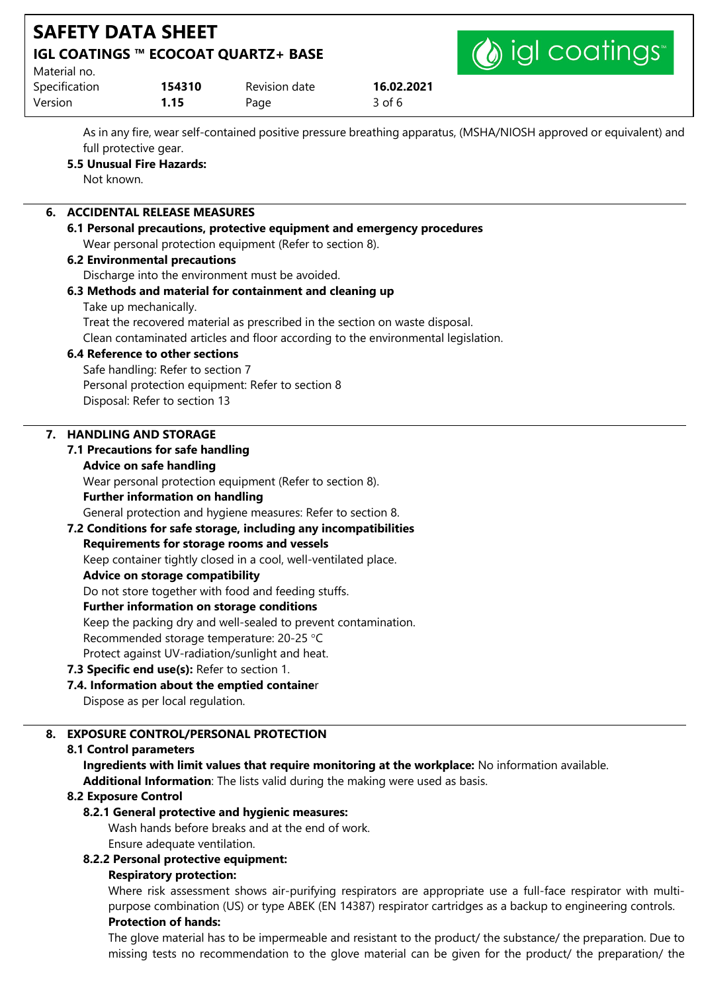

| Material no.  |        |               |            |
|---------------|--------|---------------|------------|
| Specification | 154310 | Revision date | 16.02.2021 |
| Version       | 1.15   | Page          | 3 of 6     |

As in any fire, wear self-contained positive pressure breathing apparatus, (MSHA/NIOSH approved or equivalent) and full protective gear.

# **5.5 Unusual Fire Hazards:**

Not known.

# **6. ACCIDENTAL RELEASE MEASURES**

### **6.1 Personal precautions, protective equipment and emergency procedures** Wear personal protection equipment (Refer to section 8).

## **6.2 Environmental precautions**

Discharge into the environment must be avoided.

## **6.3 Methods and material for containment and cleaning up**

Take up mechanically.

Treat the recovered material as prescribed in the section on waste disposal.

Clean contaminated articles and floor according to the environmental legislation.

## **6.4 Reference to other sections**

Safe handling: Refer to section 7 Personal protection equipment: Refer to section 8 Disposal: Refer to section 13

# **7. HANDLING AND STORAGE**

# **7.1 Precautions for safe handling**

# **Advice on safe handling**

Wear personal protection equipment (Refer to section 8).

## **Further information on handling**

General protection and hygiene measures: Refer to section 8.

## **7.2 Conditions for safe storage, including any incompatibilities**

## **Requirements for storage rooms and vessels**

Keep container tightly closed in a cool, well-ventilated place.

## **Advice on storage compatibility**

Do not store together with food and feeding stuffs.

## **Further information on storage conditions**

Keep the packing dry and well-sealed to prevent contamination.

Recommended storage temperature: 20-25 °C

Protect against UV-radiation/sunlight and heat.

- **7.3 Specific end use(s):** Refer to section 1.
- **7.4. Information about the emptied containe**r

Dispose as per local regulation.

# **8. EXPOSURE CONTROL/PERSONAL PROTECTION**

# **8.1 Control parameters**

**Ingredients with limit values that require monitoring at the workplace:** No information available.

**Additional Information**: The lists valid during the making were used as basis.

# **8.2 Exposure Control**

# **8.2.1 General protective and hygienic measures:**

Wash hands before breaks and at the end of work.

Ensure adequate ventilation.

# **8.2.2 Personal protective equipment:**

# **Respiratory protection:**

Where risk assessment shows air-purifying respirators are appropriate use a full-face respirator with multipurpose combination (US) or type ABEK (EN 14387) respirator cartridges as a backup to engineering controls. **Protection of hands:**

The glove material has to be impermeable and resistant to the product/ the substance/ the preparation. Due to missing tests no recommendation to the glove material can be given for the product/ the preparation/ the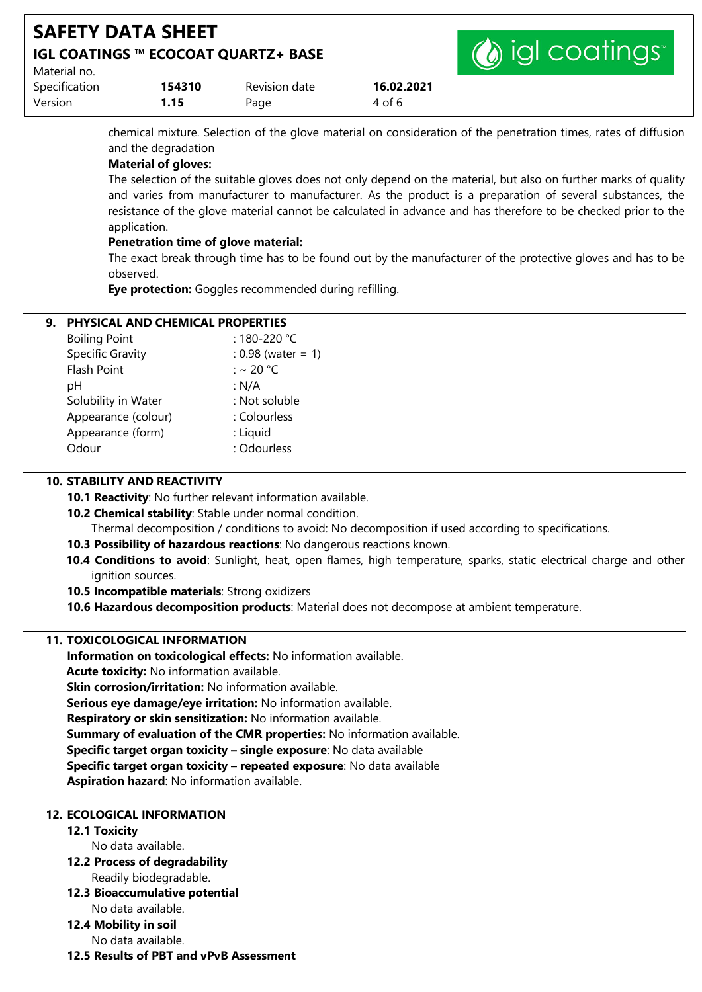| <b>SAFETY DATA SHEET</b><br>IGL COATINGS ™ ECOCOAT QUARTZ+ BASE |        |               | (b) igl coatings |  |
|-----------------------------------------------------------------|--------|---------------|------------------|--|
| Material no.                                                    |        |               |                  |  |
| Specification                                                   | 154310 | Revision date | 16.02.2021       |  |
| Version                                                         | 1.15   | Page          | 4 of 6           |  |

chemical mixture. Selection of the glove material on consideration of the penetration times, rates of diffusion and the degradation

### **Material of gloves:**

The selection of the suitable gloves does not only depend on the material, but also on further marks of quality and varies from manufacturer to manufacturer. As the product is a preparation of several substances, the resistance of the glove material cannot be calculated in advance and has therefore to be checked prior to the application.

### **Penetration time of glove material:**

The exact break through time has to be found out by the manufacturer of the protective gloves and has to be observed.

**Eye protection:** Goggles recommended during refilling.

### **9. PHYSICAL AND CHEMICAL PROPERTIES**

| <b>Boiling Point</b>    | : 180-220 °C         |
|-------------------------|----------------------|
| <b>Specific Gravity</b> | : $0.98$ (water = 1) |
| <b>Flash Point</b>      | : ~ 20 °C            |
| рH                      | : N/A                |
| Solubility in Water     | : Not soluble        |
| Appearance (colour)     | : Colourless         |
| Appearance (form)       | : Liquid             |
| Odour                   | : Odourless          |
|                         |                      |

### **10. STABILITY AND REACTIVITY**

**10.1 Reactivity**: No further relevant information available.

**10.2 Chemical stability**: Stable under normal condition.

Thermal decomposition / conditions to avoid: No decomposition if used according to specifications.

- **10.3 Possibility of hazardous reactions**: No dangerous reactions known.
- **10.4 Conditions to avoid**: Sunlight, heat, open flames, high temperature, sparks, static electrical charge and other ignition sources.
- **10.5 Incompatible materials**: Strong oxidizers
- **10.6 Hazardous decomposition products**: Material does not decompose at ambient temperature.

### **11. TOXICOLOGICAL INFORMATION**

**Information on toxicological effects:** No information available. **Acute toxicity:** No information available. **Skin corrosion/irritation:** No information available. **Serious eye damage/eye irritation:** No information available.

**Respiratory or skin sensitization:** No information available.

**Summary of evaluation of the CMR properties:** No information available.

**Specific target organ toxicity – single exposure**: No data available

**Specific target organ toxicity – repeated exposure**: No data available

**Aspiration hazard**: No information available.

### **12. ECOLOGICAL INFORMATION**

**12.1 Toxicity** 

No data available.

- **12.2 Process of degradability** Readily biodegradable.
- **12.3 Bioaccumulative potential** No data available.
- **12.4 Mobility in soil** No data available.
- **12.5 Results of PBT and vPvB Assessment**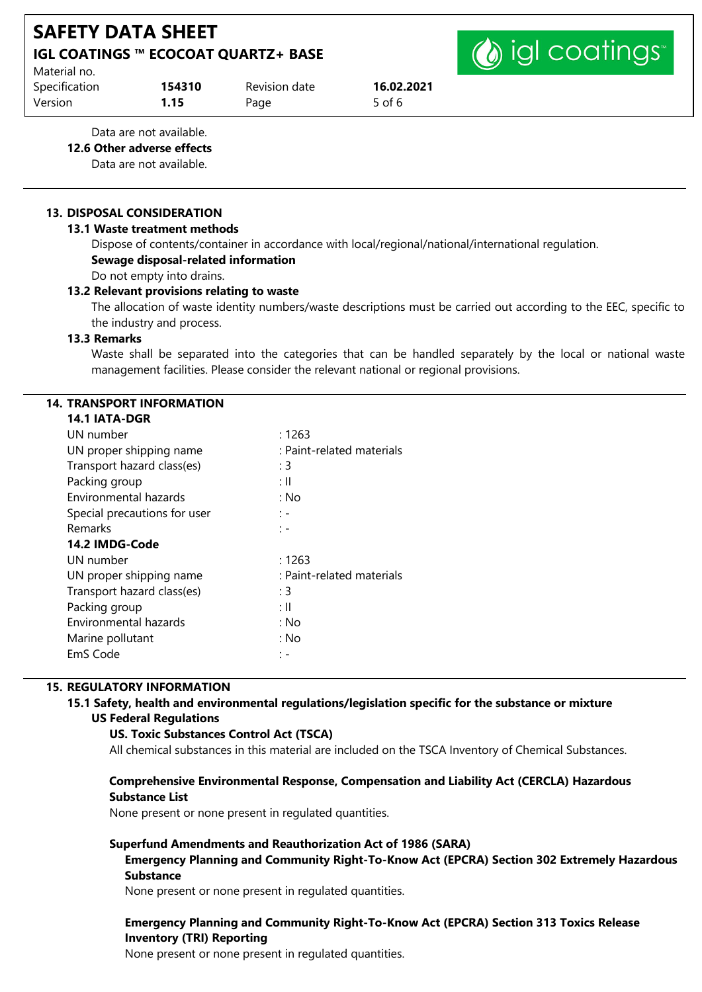(b) igl coatings

| Material no.  |        |               |        |
|---------------|--------|---------------|--------|
| Specification | 154310 | Revision date | 16.02  |
| Version       | 1.15   | Page          | 5 of 6 |

Specification **154310** Revision date **16.02.2021**

Data are not available.

**12.6 Other adverse effects**

Data are not available.

### **13. DISPOSAL CONSIDERATION**

### **13.1 Waste treatment methods**

Dispose of contents/container in accordance with local/regional/national/international regulation. **Sewage disposal-related information** Do not empty into drains.

### **13.2 Relevant provisions relating to waste**

The allocation of waste identity numbers/waste descriptions must be carried out according to the EEC, specific to the industry and process.

### **13.3 Remarks**

Waste shall be separated into the categories that can be handled separately by the local or national waste management facilities. Please consider the relevant national or regional provisions.

### **14. TRANSPORT INFORMATION**

### **14.1 IATA-DGR**

| UN number                    | :1263                     |
|------------------------------|---------------------------|
| UN proper shipping name      | : Paint-related materials |
| Transport hazard class(es)   | : 3                       |
| Packing group                | ÷Ш                        |
| Environmental hazards        | : No                      |
| Special precautions for user | : -                       |
| <b>Remarks</b>               | : –                       |
| 14.2 IMDG-Code               |                           |
| UN number                    | : 1263                    |
| UN proper shipping name      | : Paint-related materials |
| Transport hazard class(es)   | : 3                       |
| Packing group                | : II                      |
| Environmental hazards        | : No                      |
| Marine pollutant             | : No                      |
| EmS Code                     |                           |
|                              |                           |

### **15. REGULATORY INFORMATION**

### **15.1 Safety, health and environmental regulations/legislation specific for the substance or mixture US Federal Regulations**

### **US. Toxic Substances Control Act (TSCA)**

All chemical substances in this material are included on the TSCA Inventory of Chemical Substances.

### **Comprehensive Environmental Response, Compensation and Liability Act (CERCLA) Hazardous Substance List**

None present or none present in regulated quantities.

### **Superfund Amendments and Reauthorization Act of 1986 (SARA)**

**Emergency Planning and Community Right-To-Know Act (EPCRA) Section 302 Extremely Hazardous Substance**

None present or none present in regulated quantities.

### **Emergency Planning and Community Right-To-Know Act (EPCRA) Section 313 Toxics Release Inventory (TRI) Reporting**

None present or none present in regulated quantities.